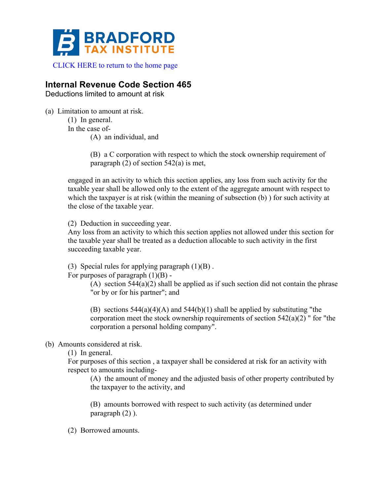

## **Internal Revenue Code Section 465**

Deductions limited to amount at risk

(a) Limitation to amount at risk.

(1) In general. In the case of-

(A) an individual, and

(B) a C corporation with respect to which the stock ownership requirement of paragraph (2) of section 542(a) is met,

engaged in an activity to which this section applies, any loss from such activity for the taxable year shall be allowed only to the extent of the aggregate amount with respect to which the taxpayer is at risk (within the meaning of subsection (b)) for such activity at the close of the taxable year.

(2) Deduction in succeeding year.

Any loss from an activity to which this section applies not allowed under this section for the taxable year shall be treated as a deduction allocable to such activity in the first succeeding taxable year.

(3) Special rules for applying paragraph  $(1)(B)$ .

For purposes of paragraph  $(1)(B)$  -

(A) section  $544(a)(2)$  shall be applied as if such section did not contain the phrase "or by or for his partner"; and

(B) sections  $544(a)(4)(A)$  and  $544(b)(1)$  shall be applied by substituting "the corporation meet the stock ownership requirements of section 542(a)(2) " for "the corporation a personal holding company".

(b) Amounts considered at risk.

(1) In general.

For purposes of this section , a taxpayer shall be considered at risk for an activity with respect to amounts including-

(A) the amount of money and the adjusted basis of other property contributed by the taxpayer to the activity, and

(B) amounts borrowed with respect to such activity (as determined under paragraph (2) ).

(2) Borrowed amounts.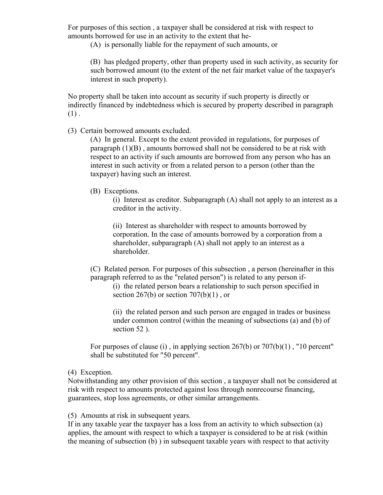For purposes of this section , a taxpayer shall be considered at risk with respect to amounts borrowed for use in an activity to the extent that he-

(A) is personally liable for the repayment of such amounts, or

(B) has pledged property, other than property used in such activity, as security for such borrowed amount (to the extent of the net fair market value of the taxpayer's interest in such property).

No property shall be taken into account as security if such property is directly or indirectly financed by indebtedness which is secured by property described in paragraph  $(1)$ .

(3) Certain borrowed amounts excluded.

(A) In general. Except to the extent provided in regulations, for purposes of paragraph (1)(B) , amounts borrowed shall not be considered to be at risk with respect to an activity if such amounts are borrowed from any person who has an interest in such activity or from a related person to a person (other than the taxpayer) having such an interest.

## (B) Exceptions.

(i) Interest as creditor. Subparagraph (A) shall not apply to an interest as a creditor in the activity.

(ii) Interest as shareholder with respect to amounts borrowed by corporation. In the case of amounts borrowed by a corporation from a shareholder, subparagraph (A) shall not apply to an interest as a shareholder.

(C) Related person. For purposes of this subsection , a person (hereinafter in this paragraph referred to as the "related person") is related to any person if-

(i) the related person bears a relationship to such person specified in section  $267(b)$  or section  $707(b)(1)$ , or

(ii) the related person and such person are engaged in trades or business under common control (within the meaning of subsections (a) and (b) of section 52 ).

For purposes of clause (i), in applying section  $267(b)$  or  $707(b)(1)$ , "10 percent" shall be substituted for "50 percent".

## (4) Exception.

Notwithstanding any other provision of this section , a taxpayer shall not be considered at risk with respect to amounts protected against loss through nonrecourse financing, guarantees, stop loss agreements, or other similar arrangements.

(5) Amounts at risk in subsequent years.

If in any taxable year the taxpayer has a loss from an activity to which subsection (a) applies, the amount with respect to which a taxpayer is considered to be at risk (within the meaning of subsection (b) ) in subsequent taxable years with respect to that activity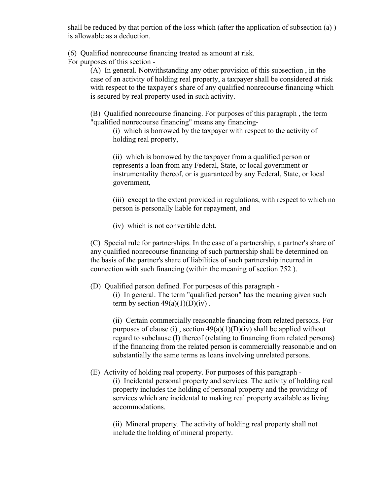shall be reduced by that portion of the loss which (after the application of subsection (a) ) is allowable as a deduction.

(6) Qualified nonrecourse financing treated as amount at risk.

For purposes of this section -

(A) In general. Notwithstanding any other provision of this subsection , in the case of an activity of holding real property, a taxpayer shall be considered at risk with respect to the taxpayer's share of any qualified nonrecourse financing which is secured by real property used in such activity.

(B) Qualified nonrecourse financing. For purposes of this paragraph , the term "qualified nonrecourse financing" means any financing-

(i) which is borrowed by the taxpayer with respect to the activity of holding real property,

(ii) which is borrowed by the taxpayer from a qualified person or represents a loan from any Federal, State, or local government or instrumentality thereof, or is guaranteed by any Federal, State, or local government,

(iii) except to the extent provided in regulations, with respect to which no person is personally liable for repayment, and

(iv) which is not convertible debt.

(C) Special rule for partnerships. In the case of a partnership, a partner's share of any qualified nonrecourse financing of such partnership shall be determined on the basis of the partner's share of liabilities of such partnership incurred in connection with such financing (within the meaning of section 752 ).

(D) Qualified person defined. For purposes of this paragraph -

(i) In general. The term "qualified person" has the meaning given such term by section  $49(a)(1)(D)(iv)$ .

(ii) Certain commercially reasonable financing from related persons. For purposes of clause (i), section  $49(a)(1)(D)(iv)$  shall be applied without regard to subclause (I) thereof (relating to financing from related persons) if the financing from the related person is commercially reasonable and on substantially the same terms as loans involving unrelated persons.

(E) Activity of holding real property. For purposes of this paragraph - (i) Incidental personal property and services. The activity of holding real property includes the holding of personal property and the providing of services which are incidental to making real property available as living accommodations.

(ii) Mineral property. The activity of holding real property shall not include the holding of mineral property.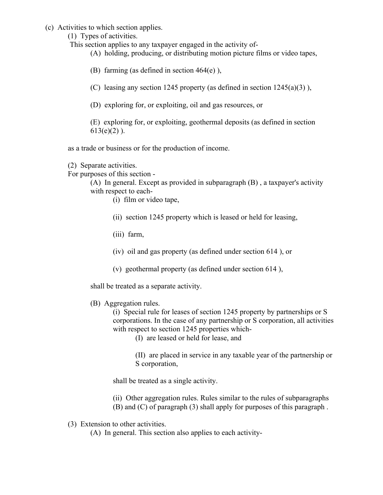(c) Activities to which section applies.

(1) Types of activities.

This section applies to any taxpayer engaged in the activity of-

(A) holding, producing, or distributing motion picture films or video tapes,

(B) farming (as defined in section 464(e) ),

(C) leasing any section 1245 property (as defined in section  $1245(a)(3)$ ),

(D) exploring for, or exploiting, oil and gas resources, or

(E) exploring for, or exploiting, geothermal deposits (as defined in section  $613(e)(2)$ .

as a trade or business or for the production of income.

(2) Separate activities.

For purposes of this section -

(A) In general. Except as provided in subparagraph (B) , a taxpayer's activity with respect to each-

- (i) film or video tape,
- (ii) section 1245 property which is leased or held for leasing,
- (iii) farm,
- (iv) oil and gas property (as defined under section 614 ), or
- (v) geothermal property (as defined under section 614 ),

shall be treated as a separate activity.

(B) Aggregation rules.

(i) Special rule for leases of section 1245 property by partnerships or S corporations. In the case of any partnership or S corporation, all activities with respect to section 1245 properties which-

(I) are leased or held for lease, and

(II) are placed in service in any taxable year of the partnership or S corporation,

shall be treated as a single activity.

- (ii) Other aggregation rules. Rules similar to the rules of subparagraphs
- (B) and (C) of paragraph (3) shall apply for purposes of this paragraph .
- (3) Extension to other activities.

(A) In general. This section also applies to each activity-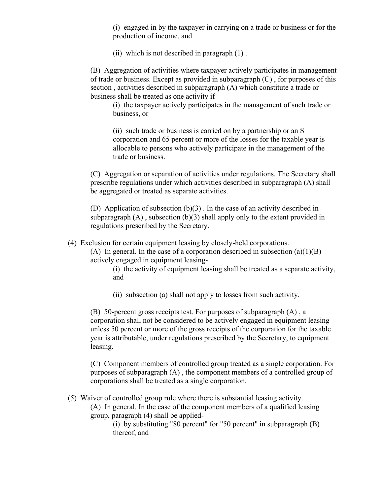(i) engaged in by the taxpayer in carrying on a trade or business or for the production of income, and

(ii) which is not described in paragraph (1) .

(B) Aggregation of activities where taxpayer actively participates in management of trade or business. Except as provided in subparagraph (C) , for purposes of this section , activities described in subparagraph (A) which constitute a trade or business shall be treated as one activity if-

(i) the taxpayer actively participates in the management of such trade or business, or

(ii) such trade or business is carried on by a partnership or an S corporation and 65 percent or more of the losses for the taxable year is allocable to persons who actively participate in the management of the trade or business.

(C) Aggregation or separation of activities under regulations. The Secretary shall prescribe regulations under which activities described in subparagraph (A) shall be aggregated or treated as separate activities.

(D) Application of subsection (b)(3) . In the case of an activity described in subparagraph  $(A)$ , subsection  $(b)(3)$  shall apply only to the extent provided in regulations prescribed by the Secretary.

(4) Exclusion for certain equipment leasing by closely-held corporations.

(A) In general. In the case of a corporation described in subsection  $(a)(1)(B)$ actively engaged in equipment leasing-

(i) the activity of equipment leasing shall be treated as a separate activity, and

(ii) subsection (a) shall not apply to losses from such activity.

(B) 50-percent gross receipts test. For purposes of subparagraph (A) , a corporation shall not be considered to be actively engaged in equipment leasing unless 50 percent or more of the gross receipts of the corporation for the taxable year is attributable, under regulations prescribed by the Secretary, to equipment leasing.

(C) Component members of controlled group treated as a single corporation. For purposes of subparagraph (A) , the component members of a controlled group of corporations shall be treated as a single corporation.

(5) Waiver of controlled group rule where there is substantial leasing activity.

(A) In general. In the case of the component members of a qualified leasing group, paragraph (4) shall be applied-

(i) by substituting "80 percent" for "50 percent" in subparagraph (B) thereof, and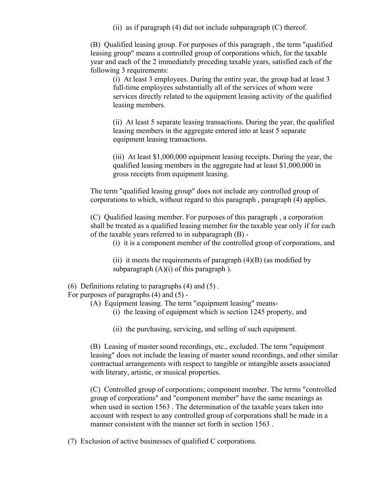(ii) as if paragraph  $(4)$  did not include subparagraph  $(C)$  thereof.

(B) Qualified leasing group. For purposes of this paragraph , the term "qualified leasing group" means a controlled group of corporations which, for the taxable year and each of the 2 immediately preceding taxable years, satisfied each of the following 3 requirements:

(i) At least 3 employees. During the entire year, the group had at least 3 full-time employees substantially all of the services of whom were services directly related to the equipment leasing activity of the qualified leasing members.

(ii) At least 5 separate leasing transactions. During the year, the qualified leasing members in the aggregate entered into at least 5 separate equipment leasing transactions.

(iii) At least \$1,000,000 equipment leasing receipts. During the year, the qualified leasing members in the aggregate had at least \$1,000,000 in gross receipts from equipment leasing.

The term "qualified leasing group" does not include any controlled group of corporations to which, without regard to this paragraph , paragraph (4) applies.

(C) Qualified leasing member. For purposes of this paragraph , a corporation shall be treated as a qualified leasing member for the taxable year only if for each of the taxable years referred to in subparagraph (B) -

(i) it is a component member of the controlled group of corporations, and

(ii) it meets the requirements of paragraph  $(4)(B)$  (as modified by subparagraph  $(A)(i)$  of this paragraph ).

## (6) Definitions relating to paragraphs (4) and (5) .

For purposes of paragraphs (4) and (5) -

(A) Equipment leasing. The term "equipment leasing" means-

- (i) the leasing of equipment which is section 1245 property, and
- (ii) the purchasing, servicing, and selling of such equipment.

(B) Leasing of master sound recordings, etc., excluded. The term "equipment leasing" does not include the leasing of master sound recordings, and other similar contractual arrangements with respect to tangible or intangible assets associated with literary, artistic, or musical properties.

(C) Controlled group of corporations; component member. The terms "controlled group of corporations" and "component member" have the same meanings as when used in section 1563 . The determination of the taxable years taken into account with respect to any controlled group of corporations shall be made in a manner consistent with the manner set forth in section 1563.

(7) Exclusion of active businesses of qualified C corporations.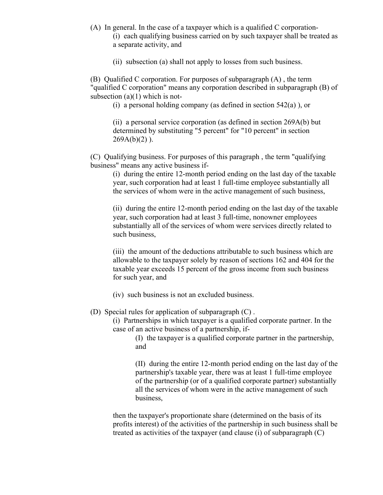- (A) In general. In the case of a taxpayer which is a qualified C corporation-
	- (i) each qualifying business carried on by such taxpayer shall be treated as a separate activity, and

(ii) subsection (a) shall not apply to losses from such business.

(B) Qualified C corporation. For purposes of subparagraph (A) , the term "qualified C corporation" means any corporation described in subparagraph (B) of subsection  $(a)(1)$  which is not-

(i) a personal holding company (as defined in section 542(a) ), or

(ii) a personal service corporation (as defined in section 269A(b) but determined by substituting "5 percent" for "10 percent" in section  $269A(b)(2)$ ).

(C) Qualifying business. For purposes of this paragraph , the term "qualifying business" means any active business if-

(i) during the entire 12-month period ending on the last day of the taxable year, such corporation had at least 1 full-time employee substantially all the services of whom were in the active management of such business,

(ii) during the entire 12-month period ending on the last day of the taxable year, such corporation had at least 3 full-time, nonowner employees substantially all of the services of whom were services directly related to such business,

(iii) the amount of the deductions attributable to such business which are allowable to the taxpayer solely by reason of sections 162 and 404 for the taxable year exceeds 15 percent of the gross income from such business for such year, and

(iv) such business is not an excluded business.

(D) Special rules for application of subparagraph (C) .

(i) Partnerships in which taxpayer is a qualified corporate partner. In the case of an active business of a partnership, if-

> (I) the taxpayer is a qualified corporate partner in the partnership, and

(II) during the entire 12-month period ending on the last day of the partnership's taxable year, there was at least 1 full-time employee of the partnership (or of a qualified corporate partner) substantially all the services of whom were in the active management of such business,

then the taxpayer's proportionate share (determined on the basis of its profits interest) of the activities of the partnership in such business shall be treated as activities of the taxpayer (and clause (i) of subparagraph (C)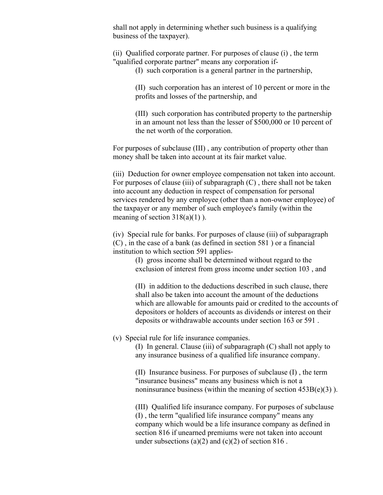shall not apply in determining whether such business is a qualifying business of the taxpayer).

(ii) Qualified corporate partner. For purposes of clause (i) , the term "qualified corporate partner" means any corporation if-

(I) such corporation is a general partner in the partnership,

(II) such corporation has an interest of 10 percent or more in the profits and losses of the partnership, and

(III) such corporation has contributed property to the partnership in an amount not less than the lesser of \$500,000 or 10 percent of the net worth of the corporation.

For purposes of subclause (III) , any contribution of property other than money shall be taken into account at its fair market value.

(iii) Deduction for owner employee compensation not taken into account. For purposes of clause (iii) of subparagraph  $(C)$ , there shall not be taken into account any deduction in respect of compensation for personal services rendered by any employee (other than a non-owner employee) of the taxpayer or any member of such employee's family (within the meaning of section  $318(a)(1)$ ).

(iv) Special rule for banks. For purposes of clause (iii) of subparagraph (C) , in the case of a bank (as defined in section 581 ) or a financial institution to which section 591 applies-

> (I) gross income shall be determined without regard to the exclusion of interest from gross income under section 103 , and

(II) in addition to the deductions described in such clause, there shall also be taken into account the amount of the deductions which are allowable for amounts paid or credited to the accounts of depositors or holders of accounts as dividends or interest on their deposits or withdrawable accounts under section 163 or 591 .

(v) Special rule for life insurance companies.

(I) In general. Clause (iii) of subparagraph (C) shall not apply to any insurance business of a qualified life insurance company.

(II) Insurance business. For purposes of subclause (I) , the term "insurance business" means any business which is not a noninsurance business (within the meaning of section  $453B(e)(3)$ ).

(III) Qualified life insurance company. For purposes of subclause (I) , the term "qualified life insurance company" means any company which would be a life insurance company as defined in section 816 if unearned premiums were not taken into account under subsections (a)(2) and (c)(2) of section 816.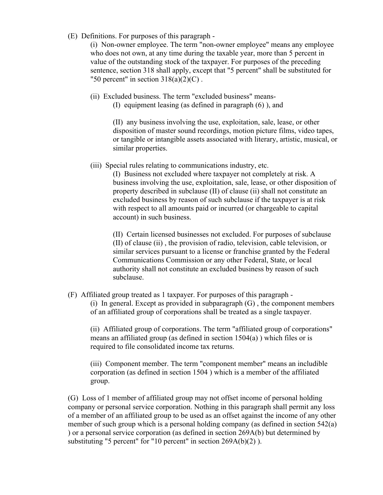(E) Definitions. For purposes of this paragraph -

(i) Non-owner employee. The term "non-owner employee" means any employee who does not own, at any time during the taxable year, more than 5 percent in value of the outstanding stock of the taxpayer. For purposes of the preceding sentence, section 318 shall apply, except that "5 percent" shall be substituted for "50 percent" in section  $318(a)(2)(C)$ .

(ii) Excluded business. The term "excluded business" means- (I) equipment leasing (as defined in paragraph (6) ), and

> (II) any business involving the use, exploitation, sale, lease, or other disposition of master sound recordings, motion picture films, video tapes, or tangible or intangible assets associated with literary, artistic, musical, or similar properties.

(iii) Special rules relating to communications industry, etc.

(I) Business not excluded where taxpayer not completely at risk. A business involving the use, exploitation, sale, lease, or other disposition of property described in subclause (II) of clause (ii) shall not constitute an excluded business by reason of such subclause if the taxpayer is at risk with respect to all amounts paid or incurred (or chargeable to capital account) in such business.

(II) Certain licensed businesses not excluded. For purposes of subclause (II) of clause (ii) , the provision of radio, television, cable television, or similar services pursuant to a license or franchise granted by the Federal Communications Commission or any other Federal, State, or local authority shall not constitute an excluded business by reason of such subclause.

(F) Affiliated group treated as 1 taxpayer. For purposes of this paragraph -

(i) In general. Except as provided in subparagraph  $(G)$ , the component members of an affiliated group of corporations shall be treated as a single taxpayer.

(ii) Affiliated group of corporations. The term "affiliated group of corporations" means an affiliated group (as defined in section 1504(a) ) which files or is required to file consolidated income tax returns.

(iii) Component member. The term "component member" means an includible corporation (as defined in section 1504 ) which is a member of the affiliated group.

(G) Loss of 1 member of affiliated group may not offset income of personal holding company or personal service corporation. Nothing in this paragraph shall permit any loss of a member of an affiliated group to be used as an offset against the income of any other member of such group which is a personal holding company (as defined in section 542(a) ) or a personal service corporation (as defined in section 269A(b) but determined by substituting "5 percent" for "10 percent" in section 269A(b)(2) ).